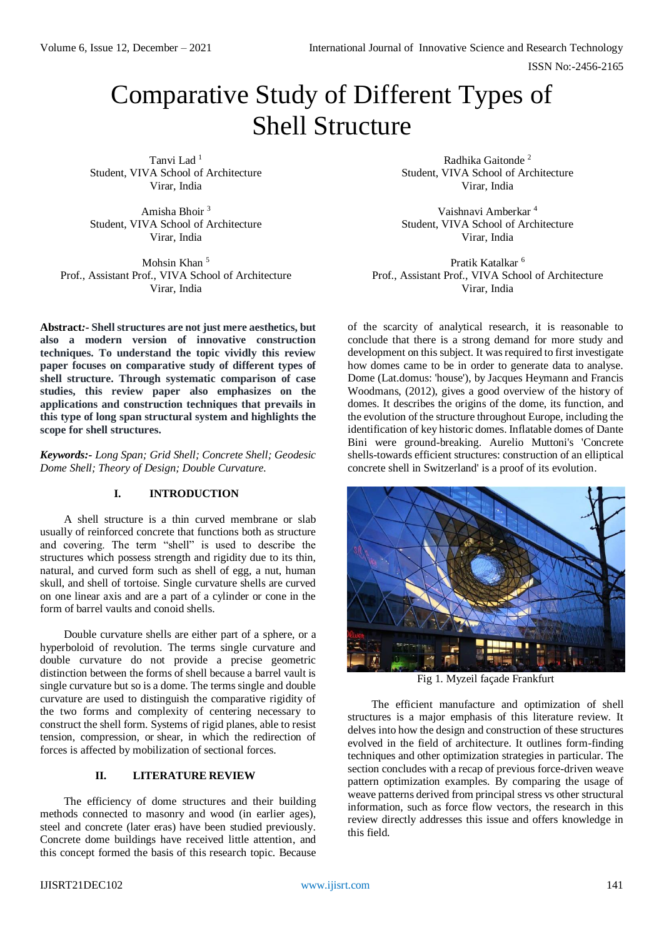# Comparative Study of Different Types of Shell Structure

Tanvi Lad <sup>1</sup> Student, VIVA School of Architecture Virar, India

Amisha Bhoir <sup>3</sup> Student, VIVA School of Architecture Virar, India

Mohsin Khan<sup>5</sup> Prof., Assistant Prof., VIVA School of Architecture Virar, India

**Abstract***:-* **Shell structures are not just mere aesthetics, but also a modern version of innovative construction techniques. To understand the topic vividly this review paper focuses on comparative study of different types of shell structure. Through systematic comparison of case studies, this review paper also emphasizes on the applications and construction techniques that prevails in this type of long span structural system and highlights the scope for shell structures.**

*Keywords:- Long Span; Grid Shell; Concrete Shell; Geodesic Dome Shell; Theory of Design; Double Curvature.*

# **I. INTRODUCTION**

A shell structure is a thin curved membrane or slab usually of reinforced concrete that functions both as structure and covering. The term "shell" is used to describe the structures which possess strength and rigidity due to its thin, natural, and curved form such as shell of egg, a nut, human skull, and shell of tortoise. Single curvature shells are curved on one linear axis and are a part of a cylinder or cone in the form of barrel vaults and conoid shells.

Double curvature shells are either part of a sphere, or a hyperboloid of revolution. The terms single curvature and double curvature do not provide a precise geometric distinction between the forms of shell because a barrel vault is single curvature but so is a dome. The terms single and double curvature are used to distinguish the comparative rigidity of the two forms and complexity of centering necessary to construct the shell form. Systems of rigid planes, able to resist tension, compression, or shear, in which the redirection of forces is affected by mobilization of sectional forces.

# **II. LITERATURE REVIEW**

The efficiency of dome structures and their building methods connected to masonry and wood (in earlier ages), steel and concrete (later eras) have been studied previously. Concrete dome buildings have received little attention, and this concept formed the basis of this research topic. Because

Radhika Gaitonde <sup>2</sup> Student, VIVA School of Architecture Virar, India

Vaishnavi Amberkar <sup>4</sup> Student, VIVA School of Architecture Virar, India

Pratik Katalkar <sup>6</sup> Prof., Assistant Prof., VIVA School of Architecture Virar, India

of the scarcity of analytical research, it is reasonable to conclude that there is a strong demand for more study and development on this subject. It was required to first investigate how domes came to be in order to generate data to analyse. Dome (Lat.domus: 'house'), by Jacques Heymann and Francis Woodmans, (2012), gives a good overview of the history of domes. It describes the origins of the dome, its function, and the evolution of the structure throughout Europe, including the identification of key historic domes. Inflatable domes of Dante Bini were ground-breaking. Aurelio Muttoni's 'Concrete shells-towards efficient structures: construction of an elliptical concrete shell in Switzerland' is a proof of its evolution.



Fig 1. Myzeil façade Frankfurt

The efficient manufacture and optimization of shell structures is a major emphasis of this literature review. It delves into how the design and construction of these structures evolved in the field of architecture. It outlines form-finding techniques and other optimization strategies in particular. The section concludes with a recap of previous force-driven weave pattern optimization examples. By comparing the usage of weave patterns derived from principal stress vs other structural information, such as force flow vectors, the research in this review directly addresses this issue and offers knowledge in this field.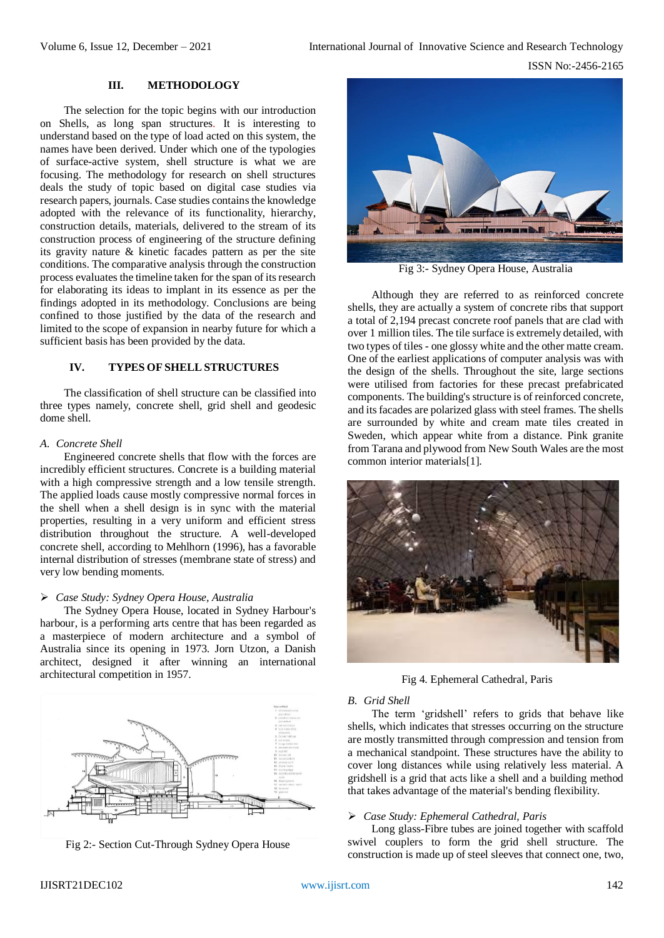## **III. METHODOLOGY**

The selection for the topic begins with our introduction on Shells, as long span structures. It is interesting to understand based on the type of load acted on this system, the names have been derived. Under which one of the typologies of surface-active system, shell structure is what we are focusing. The methodology for research on shell structures deals the study of topic based on digital case studies via research papers, journals. Case studies contains the knowledge adopted with the relevance of its functionality, hierarchy, construction details, materials, delivered to the stream of its construction process of engineering of the structure defining its gravity nature & kinetic facades pattern as per the site conditions. The comparative analysis through the construction process evaluates the timeline taken for the span of its research for elaborating its ideas to implant in its essence as per the findings adopted in its methodology. Conclusions are being confined to those justified by the data of the research and limited to the scope of expansion in nearby future for which a sufficient basis has been provided by the data.

## **IV. TYPES OF SHELL STRUCTURES**

The classification of shell structure can be classified into three types namely, concrete shell, grid shell and geodesic dome shell.

## *A. Concrete Shell*

Engineered concrete shells that flow with the forces are incredibly efficient structures. Concrete is a building material with a high compressive strength and a low tensile strength. The applied loads cause mostly compressive normal forces in the shell when a shell design is in sync with the material properties, resulting in a very uniform and efficient stress distribution throughout the structure. A well-developed concrete shell, according to Mehlhorn (1996), has a favorable internal distribution of stresses (membrane state of stress) and very low bending moments.

## *Case Study: Sydney Opera House, Australia*

The Sydney Opera House, located in Sydney Harbour's harbour, is a performing arts centre that has been regarded as a masterpiece of modern architecture and a symbol of Australia since its opening in 1973. Jorn Utzon, a Danish architect, designed it after winning an international architectural competition in 1957.



Fig 2:- Section Cut-Through Sydney Opera House



Fig 3:- Sydney Opera House, Australia

Although they are referred to as reinforced concrete shells, they are actually a system of concrete ribs that support a total of 2,194 precast concrete roof panels that are clad with over 1 million tiles. The tile surface is extremely detailed, with two types of tiles - one glossy white and the other matte cream. One of the earliest applications of computer analysis was with the design of the shells. Throughout the site, large sections were utilised from factories for these precast prefabricated components. The building's structure is of reinforced concrete, and its facades are polarized glass with steel frames. The shells are surrounded by white and cream mate tiles created in Sweden, which appear white from a distance. Pink granite from Tarana and plywood from New South Wales are the most common interior materials[1].



Fig 4. Ephemeral Cathedral, Paris

#### *B. Grid Shell*

The term 'gridshell' refers to grids that behave like shells, which indicates that stresses occurring on the structure are mostly transmitted through compression and tension from a mechanical standpoint. These structures have the ability to cover long distances while using relatively less material. A gridshell is a grid that acts like a shell and a building method that takes advantage of the material's bending flexibility.

#### *Case Study: Ephemeral Cathedral, Paris*

Long glass-Fibre tubes are joined together with scaffold swivel couplers to form the grid shell structure. The construction is made up of steel sleeves that connect one, two,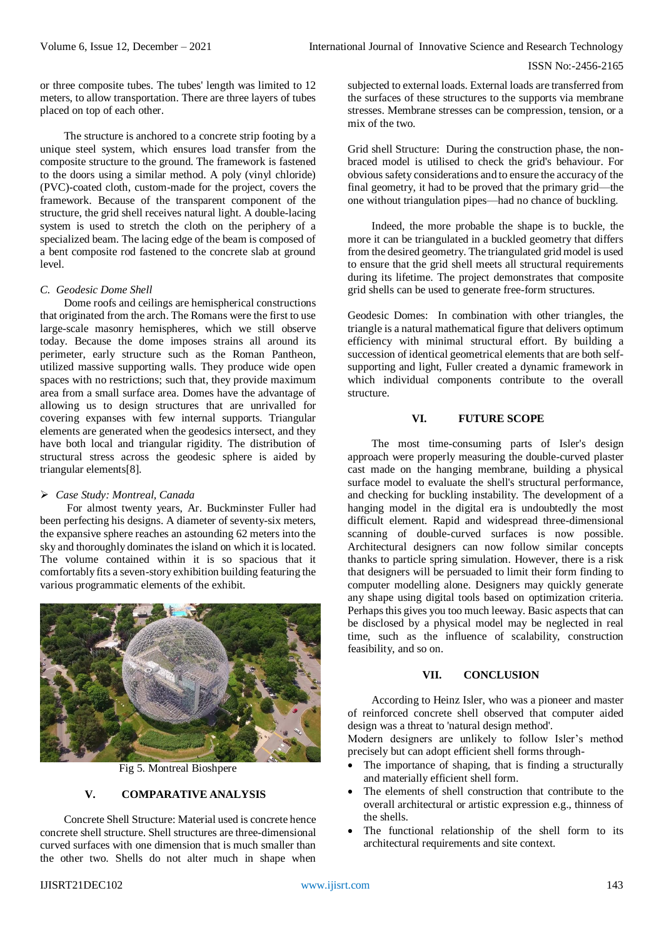ISSN No:-2456-2165

or three composite tubes. The tubes' length was limited to 12 meters, to allow transportation. There are three layers of tubes placed on top of each other.

The structure is anchored to a concrete strip footing by a unique steel system, which ensures load transfer from the composite structure to the ground. The framework is fastened to the doors using a similar method. A poly (vinyl chloride) (PVC)-coated cloth, custom-made for the project, covers the framework. Because of the transparent component of the structure, the grid shell receives natural light. A double-lacing system is used to stretch the cloth on the periphery of a specialized beam. The lacing edge of the beam is composed of a bent composite rod fastened to the concrete slab at ground level.

# *C. Geodesic Dome Shell*

Dome roofs and ceilings are hemispherical constructions that originated from the arch. The Romans were the first to use large-scale masonry hemispheres, which we still observe today. Because the dome imposes strains all around its perimeter, early structure such as the Roman Pantheon, utilized massive supporting walls. They produce wide open spaces with no restrictions; such that, they provide maximum area from a small surface area. Domes have the advantage of allowing us to design structures that are unrivalled for covering expanses with few internal supports. Triangular elements are generated when the geodesics intersect, and they have both local and triangular rigidity. The distribution of structural stress across the geodesic sphere is aided by triangular elements[8].

# *Case Study: Montreal, Canada*

For almost twenty years, Ar. Buckminster Fuller had been perfecting his designs. A diameter of seventy-six meters, the expansive sphere reaches an astounding 62 meters into the sky and thoroughly dominates the island on which it is located. The volume contained within it is so spacious that it comfortably fits a seven-story exhibition building featuring the various programmatic elements of the exhibit.



Fig 5. Montreal Bioshpere

# **V. COMPARATIVE ANALYSIS**

Concrete Shell Structure: Material used is concrete hence concrete shell structure. Shell structures are three-dimensional curved surfaces with one dimension that is much smaller than the other two. Shells do not alter much in shape when subjected to external loads. External loads are transferred from the surfaces of these structures to the supports via membrane stresses. Membrane stresses can be compression, tension, or a mix of the two.

Grid shell Structure: During the construction phase, the nonbraced model is utilised to check the grid's behaviour. For obvious safety considerations and to ensure the accuracy of the final geometry, it had to be proved that the primary grid—the one without triangulation pipes—had no chance of buckling.

Indeed, the more probable the shape is to buckle, the more it can be triangulated in a buckled geometry that differs from the desired geometry. The triangulated grid model is used to ensure that the grid shell meets all structural requirements during its lifetime. The project demonstrates that composite grid shells can be used to generate free-form structures.

Geodesic Domes: In combination with other triangles, the triangle is a natural mathematical figure that delivers optimum efficiency with minimal structural effort. By building a succession of identical geometrical elements that are both selfsupporting and light, Fuller created a dynamic framework in which individual components contribute to the overall structure.

## **VI. FUTURE SCOPE**

The most time-consuming parts of Isler's design approach were properly measuring the double-curved plaster cast made on the hanging membrane, building a physical surface model to evaluate the shell's structural performance, and checking for buckling instability. The development of a hanging model in the digital era is undoubtedly the most difficult element. Rapid and widespread three-dimensional scanning of double-curved surfaces is now possible. Architectural designers can now follow similar concepts thanks to particle spring simulation. However, there is a risk that designers will be persuaded to limit their form finding to computer modelling alone. Designers may quickly generate any shape using digital tools based on optimization criteria. Perhaps this gives you too much leeway. Basic aspects that can be disclosed by a physical model may be neglected in real time, such as the influence of scalability, construction feasibility, and so on.

## **VII. CONCLUSION**

According to Heinz Isler, who was a pioneer and master of reinforced concrete shell observed that computer aided design was a threat to 'natural design method'.

Modern designers are unlikely to follow Isler's method precisely but can adopt efficient shell forms through-

- The importance of shaping, that is finding a structurally and materially efficient shell form.
- The elements of shell construction that contribute to the overall architectural or artistic expression e.g., thinness of the shells.
- The functional relationship of the shell form to its architectural requirements and site context.